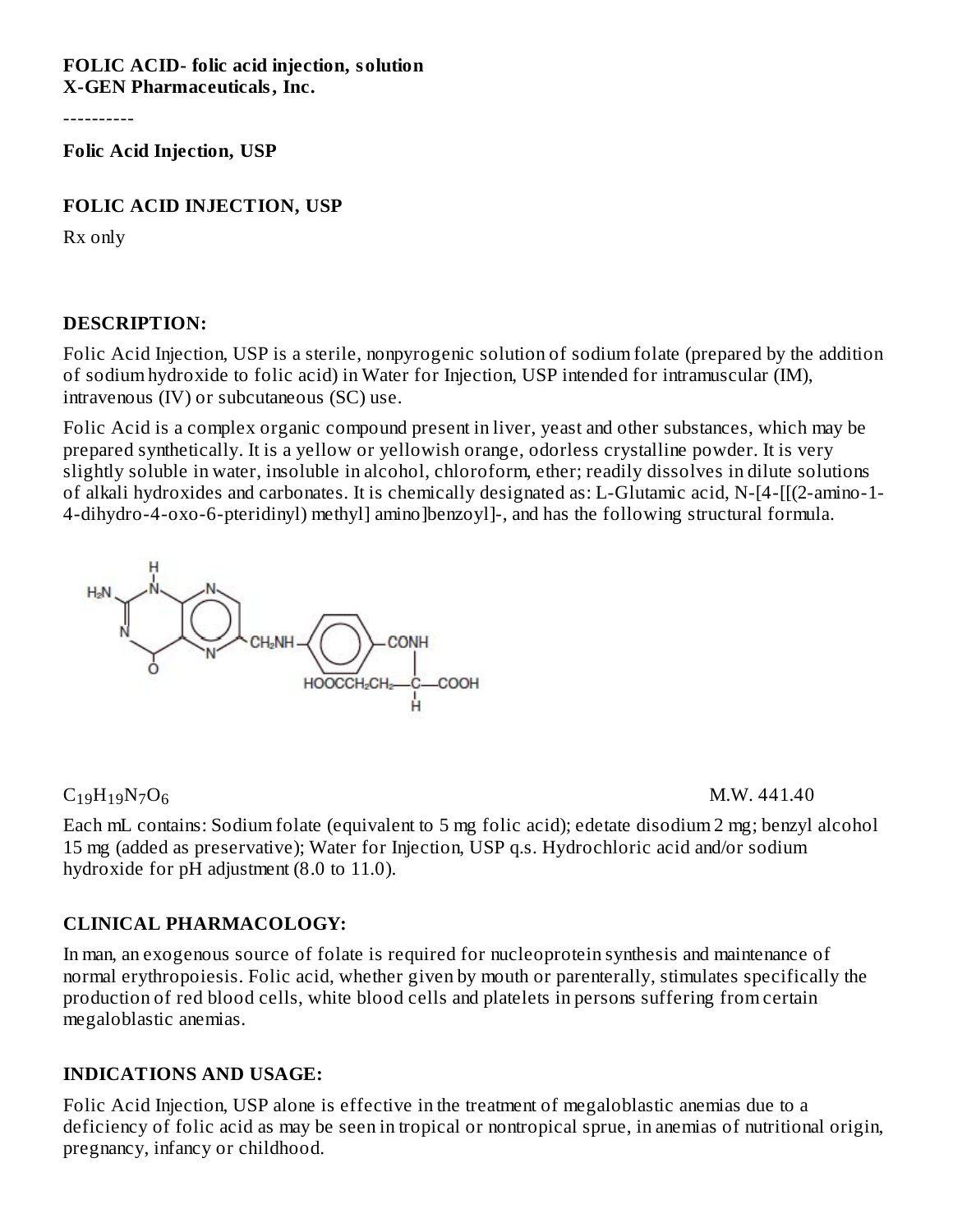**FOLIC ACID- folic acid injection, solution X-GEN Pharmaceuticals, Inc.**

----------

**Folic Acid Injection, USP**

#### **FOLIC ACID INJECTION, USP**

Rx only

#### **DESCRIPTION:**

Folic Acid Injection, USP is a sterile, nonpyrogenic solution of sodium folate (prepared by the addition of sodium hydroxide to folic acid) in Water for Injection, USP intended for intramuscular (IM), intravenous (IV) or subcutaneous (SC) use.

Folic Acid is a complex organic compound present in liver, yeast and other substances, which may be prepared synthetically. It is a yellow or yellowish orange, odorless crystalline powder. It is very slightly soluble in water, insoluble in alcohol, chloroform, ether; readily dissolves in dilute solutions of alkali hydroxides and carbonates. It is chemically designated as: L-Glutamic acid, N-[4-[[(2-amino-1- 4-dihydro-4-oxo-6-pteridinyl) methyl] amino]benzoyl]-, and has the following structural formula.



### $C_{19}H_{19}N_7O_6$  M.W. 441.40

Each mL contains: Sodium folate (equivalent to 5 mg folic acid); edetate disodium 2 mg; benzyl alcohol 15 mg (added as preservative); Water for Injection, USP q.s. Hydrochloric acid and/or sodium hydroxide for pH adjustment (8.0 to 11.0).

### **CLINICAL PHARMACOLOGY:**

In man, an exogenous source of folate is required for nucleoprotein synthesis and maintenance of normal erythropoiesis. Folic acid, whether given by mouth or parenterally, stimulates specifically the production of red blood cells, white blood cells and platelets in persons suffering from certain megaloblastic anemias.

#### **INDICATIONS AND USAGE:**

Folic Acid Injection, USP alone is effective in the treatment of megaloblastic anemias due to a deficiency of folic acid as may be seen in tropical or nontropical sprue, in anemias of nutritional origin, pregnancy, infancy or childhood.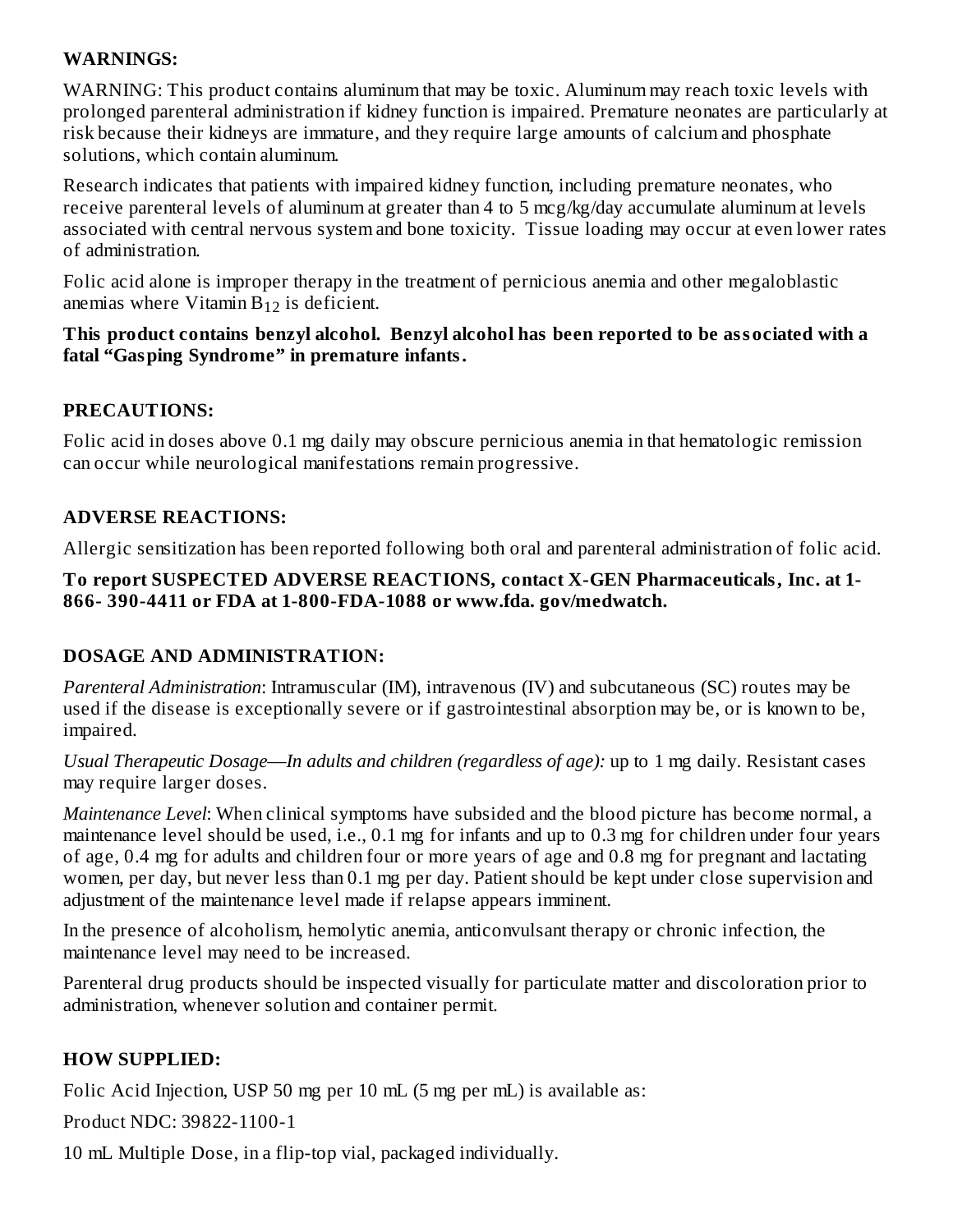### **WARNINGS:**

WARNING: This product contains aluminum that may be toxic. Aluminum may reach toxic levels with prolonged parenteral administration if kidney function is impaired. Premature neonates are particularly at risk because their kidneys are immature, and they require large amounts of calcium and phosphate solutions, which contain aluminum.

Research indicates that patients with impaired kidney function, including premature neonates, who receive parenteral levels of aluminum at greater than 4 to 5 mcg/kg/day accumulate aluminum at levels associated with central nervous system and bone toxicity. Tissue loading may occur at even lower rates of administration.

Folic acid alone is improper therapy in the treatment of pernicious anemia and other megaloblastic anemias where Vitamin  $B_{12}$  is deficient.

### **This product contains benzyl alcohol. Benzyl alcohol has been reported to be associated with a fatal "Gasping Syndrome" in premature infants.**

## **PRECAUTIONS:**

Folic acid in doses above 0.1 mg daily may obscure pernicious anemia in that hematologic remission can occur while neurological manifestations remain progressive.

## **ADVERSE REACTIONS:**

Allergic sensitization has been reported following both oral and parenteral administration of folic acid.

## **To report SUSPECTED ADVERSE REACTIONS, contact X-GEN Pharmaceuticals, Inc. at 1- 866- 390-4411 or FDA at 1-800-FDA-1088 or www.fda. gov/medwatch.**

# **DOSAGE AND ADMINISTRATION:**

*Parenteral Administration*: Intramuscular (IM), intravenous (IV) and subcutaneous (SC) routes may be used if the disease is exceptionally severe or if gastrointestinal absorption may be, or is known to be, impaired.

*Usual Therapeutic Dosage*—*In adults and children (regardless of age):* up to 1 mg daily. Resistant cases may require larger doses.

*Maintenance Level*: When clinical symptoms have subsided and the blood picture has become normal, a maintenance level should be used, i.e., 0.1 mg for infants and up to 0.3 mg for children under four years of age, 0.4 mg for adults and children four or more years of age and 0.8 mg for pregnant and lactating women, per day, but never less than 0.1 mg per day. Patient should be kept under close supervision and adjustment of the maintenance level made if relapse appears imminent.

In the presence of alcoholism, hemolytic anemia, anticonvulsant therapy or chronic infection, the maintenance level may need to be increased.

Parenteral drug products should be inspected visually for particulate matter and discoloration prior to administration, whenever solution and container permit.

# **HOW SUPPLIED:**

Folic Acid Injection, USP 50 mg per 10 mL (5 mg per mL) is available as:

Product NDC: 39822-1100-1

10 mL Multiple Dose, in a flip-top vial, packaged individually.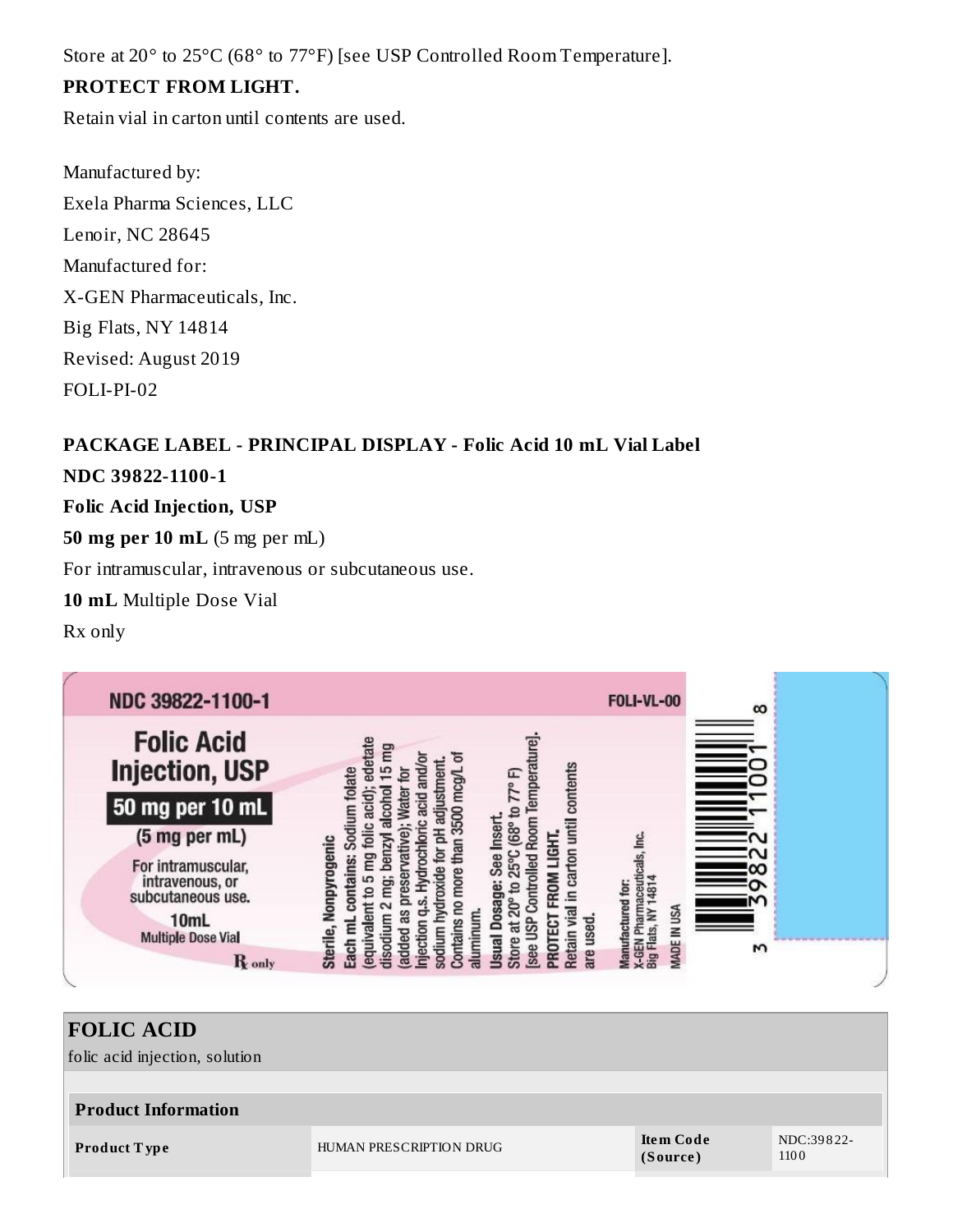Store at 20° to 25°C (68° to 77°F) [see USP Controlled Room Temperature].

## **PROTECT FROM LIGHT.**

Retain vial in carton until contents are used.

Manufactured by: Exela Pharma Sciences, LLC Lenoir, NC 28645 Manufactured for: X-GEN Pharmaceuticals, Inc. Big Flats, NY 14814 Revised: August 2019 FOLI-PI-02

# **PACKAGE LABEL - PRINCIPAL DISPLAY - Folic Acid 10 mL Vial Label NDC 39822-1100-1**

**Folic Acid Injection, USP**

**50 mg per 10 mL** (5 mg per mL)

For intramuscular, intravenous or subcutaneous use.

**10 mL** Multiple Dose Vial

Rx only



#### **FOLIC ACID** folic acid injection, solution **Product Information Product Type** HUMAN PRESCRIPTION DRUG **Ite m Code (Source )** NDC:39 8 22- 110 0